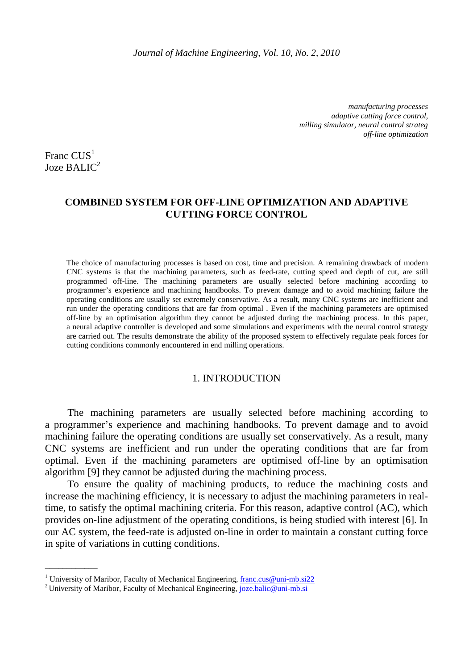*manufacturing processes adaptive cutting force control, milling simulator, neural control strateg off-line optimization*

Franc  $CUS<sup>1</sup>$ Joze BALI $C^2$ 

\_\_\_\_\_\_\_\_\_\_\_\_

# **COMBINED SYSTEM FOR OFF-LINE OPTIMIZATION AND ADAPTIVE CUTTING FORCE CONTROL**

The choice of manufacturing processes is based on cost, time and precision. A remaining drawback of modern CNC systems is that the machining parameters, such as feed-rate, cutting speed and depth of cut, are still programmed off-line. The machining parameters are usually selected before machining according to programmer's experience and machining handbooks. To prevent damage and to avoid machining failure the operating conditions are usually set extremely conservative. As a result, many CNC systems are inefficient and run under the operating conditions that are far from optimal . Even if the machining parameters are optimised off-line by an optimisation algorithm they cannot be adjusted during the machining process. In this paper, a neural adaptive controller is developed and some simulations and experiments with the neural control strategy are carried out. The results demonstrate the ability of the proposed system to effectively regulate peak forces for cutting conditions commonly encountered in end milling operations.

## 1. INTRODUCTION

 The machining parameters are usually selected before machining according to a programmer's experience and machining handbooks. To prevent damage and to avoid machining failure the operating conditions are usually set conservatively. As a result, many CNC systems are inefficient and run under the operating conditions that are far from optimal. Even if the machining parameters are optimised off-line by an optimisation algorithm [9] they cannot be adjusted during the machining process.

To ensure the quality of machining products, to reduce the machining costs and increase the machining efficiency, it is necessary to adjust the machining parameters in realtime, to satisfy the optimal machining criteria. For this reason, adaptive control (AC), which provides on-line adjustment of the operating conditions, is being studied with interest [6]. In our AC system, the feed-rate is adjusted on-line in order to maintain a constant cutting force in spite of variations in cutting conditions.

<sup>&</sup>lt;sup>1</sup> University of Maribor, Faculty of Mechanical Engineering, *franc.cus@uni-mb.si22* 

<sup>&</sup>lt;sup>2</sup> University of Maribor, Faculty of Mechanical Engineering, joze.balic@uni-mb.si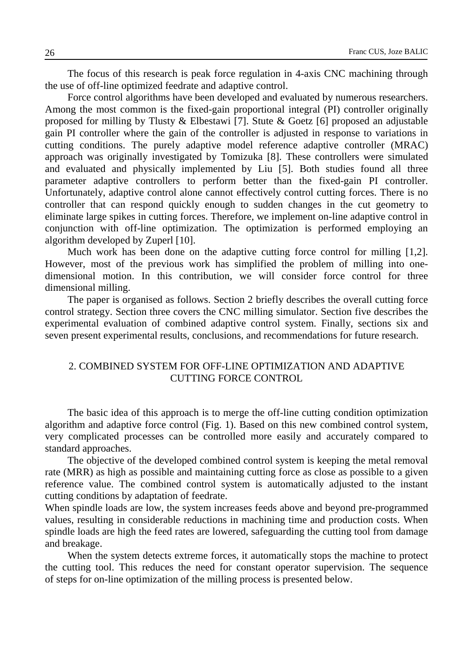The focus of this research is peak force regulation in 4-axis CNC machining through the use of off-line optimized feedrate and adaptive control.

Force control algorithms have been developed and evaluated by numerous researchers. Among the most common is the fixed-gain proportional integral (PI) controller originally proposed for milling by Tlusty & Elbestawi [7]. Stute & Goetz [6] proposed an adjustable gain PI controller where the gain of the controller is adjusted in response to variations in cutting conditions. The purely adaptive model reference adaptive controller (MRAC) approach was originally investigated by Tomizuka [8]. These controllers were simulated and evaluated and physically implemented by Liu [5]. Both studies found all three parameter adaptive controllers to perform better than the fixed-gain PI controller. Unfortunately, adaptive control alone cannot effectively control cutting forces. There is no controller that can respond quickly enough to sudden changes in the cut geometry to eliminate large spikes in cutting forces. Therefore, we implement on-line adaptive control in conjunction with off-line optimization. The optimization is performed employing an algorithm developed by Zuperl [10].

Much work has been done on the adaptive cutting force control for milling [1,2]. However, most of the previous work has simplified the problem of milling into onedimensional motion. In this contribution, we will consider force control for three dimensional milling.

The paper is organised as follows. Section 2 briefly describes the overall cutting force control strategy. Section three covers the CNC milling simulator. Section five describes the experimental evaluation of combined adaptive control system. Finally, sections six and seven present experimental results, conclusions, and recommendations for future research.

# 2. COMBINED SYSTEM FOR OFF-LINE OPTIMIZATION AND ADAPTIVE CUTTING FORCE CONTROL

The basic idea of this approach is to merge the off-line cutting condition optimization algorithm and adaptive force control (Fig. 1). Based on this new combined control system, very complicated processes can be controlled more easily and accurately compared to standard approaches.

The objective of the developed combined control system is keeping the metal removal rate (MRR) as high as possible and maintaining cutting force as close as possible to a given reference value. The combined control system is automatically adjusted to the instant cutting conditions by adaptation of feedrate.

When spindle loads are low, the system increases feeds above and beyond pre-programmed values, resulting in considerable reductions in machining time and production costs. When spindle loads are high the feed rates are lowered, safeguarding the cutting tool from damage and breakage.

When the system detects extreme forces, it automatically stops the machine to protect the cutting tool. This reduces the need for constant operator supervision. The sequence of steps for on-line optimization of the milling process is presented below.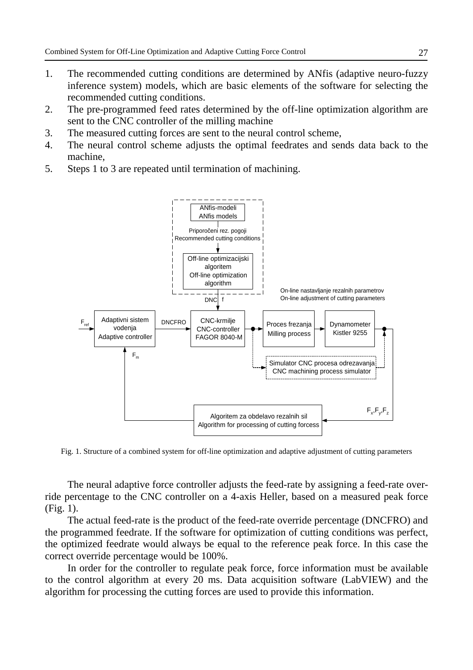- 1. The recommended cutting conditions are determined by ANfis (adaptive neuro-fuzzy inference system) models, which are basic elements of the software for selecting the recommended cutting conditions.
- 2. The pre-programmed feed rates determined by the off-line optimization algorithm are sent to the CNC controller of the milling machine
- 3. The measured cutting forces are sent to the neural control scheme,
- 4. The neural control scheme adjusts the optimal feedrates and sends data back to the machine,
- 5. Steps 1 to 3 are repeated until termination of machining.



Fig. 1. Structure of a combined system for off-line optimization and adaptive adjustment of cutting parameters

The neural adaptive force controller adjusts the feed-rate by assigning a feed-rate override percentage to the CNC controller on a 4-axis Heller, based on a measured peak force (Fig. 1).

The actual feed-rate is the product of the feed-rate override percentage (DNCFRO) and the programmed feedrate. If the software for optimization of cutting conditions was perfect, the optimized feedrate would always be equal to the reference peak force. In this case the correct override percentage would be 100%.

In order for the controller to regulate peak force, force information must be available to the control algorithm at every 20 ms. Data acquisition software (LabVIEW) and the algorithm for processing the cutting forces are used to provide this information.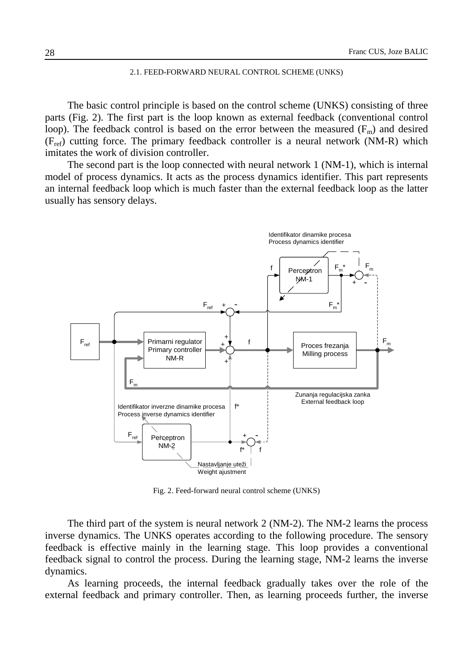#### 2.1. FEED-FORWARD NEURAL CONTROL SCHEME (UNKS)

The basic control principle is based on the control scheme (UNKS) consisting of three parts (Fig. 2). The first part is the loop known as external feedback (conventional control loop). The feedback control is based on the error between the measured  $(F_m)$  and desired  $(F_{ref})$  cutting force. The primary feedback controller is a neural network (NM-R) which imitates the work of division controller.

The second part is the loop connected with neural network 1 (NM-1), which is internal model of process dynamics. It acts as the process dynamics identifier. This part represents an internal feedback loop which is much faster than the external feedback loop as the latter usually has sensory delays.



Fig. 2. Feed-forward neural control scheme (UNKS)

The third part of the system is neural network 2 (NM-2). The NM-2 learns the process inverse dynamics. The UNKS operates according to the following procedure. The sensory feedback is effective mainly in the learning stage. This loop provides a conventional feedback signal to control the process. During the learning stage, NM-2 learns the inverse dynamics.

As learning proceeds, the internal feedback gradually takes over the role of the external feedback and primary controller. Then, as learning proceeds further, the inverse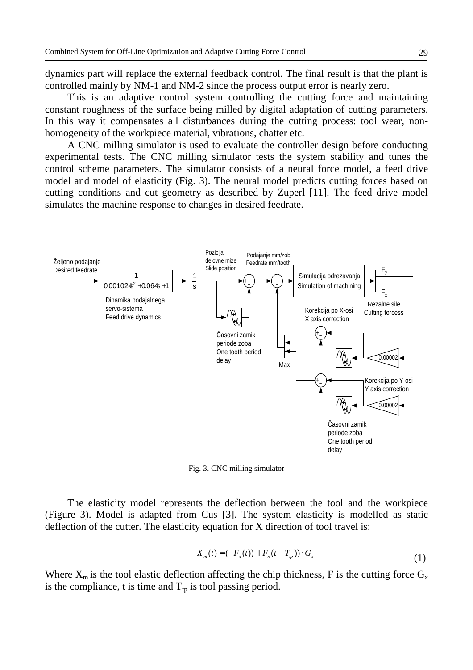dynamics part will replace the external feedback control. The final result is that the plant is controlled mainly by NM-1 and NM-2 since the process output error is nearly zero.

This is an adaptive control system controlling the cutting force and maintaining constant roughness of the surface being milled by digital adaptation of cutting parameters. In this way it compensates all disturbances during the cutting process: tool wear, nonhomogeneity of the workpiece material, vibrations, chatter etc.

A CNC milling simulator is used to evaluate the controller design before conducting experimental tests. The CNC milling simulator tests the system stability and tunes the control scheme parameters. The simulator consists of a neural force model, a feed drive model and model of elasticity (Fig. 3). The neural model predicts cutting forces based on cutting conditions and cut geometry as described by Zuperl [11]. The feed drive model simulates the machine response to changes in desired feedrate.



Fig. 3. CNC milling simulator

The elasticity model represents the deflection between the tool and the workpiece (Figure 3). Model is adapted from Cus [3]. The system elasticity is modelled as static deflection of the cutter. The elasticity equation for X direction of tool travel is:

$$
X_{m}(t) = (-F_{x}(t)) + F_{x}(t - T_{p})) \cdot G_{x}
$$
\n(1)

Where  $X_m$  is the tool elastic deflection affecting the chip thickness, F is the cutting force  $G_x$ is the compliance, t is time and  $T_{\text{tp}}$  is tool passing period.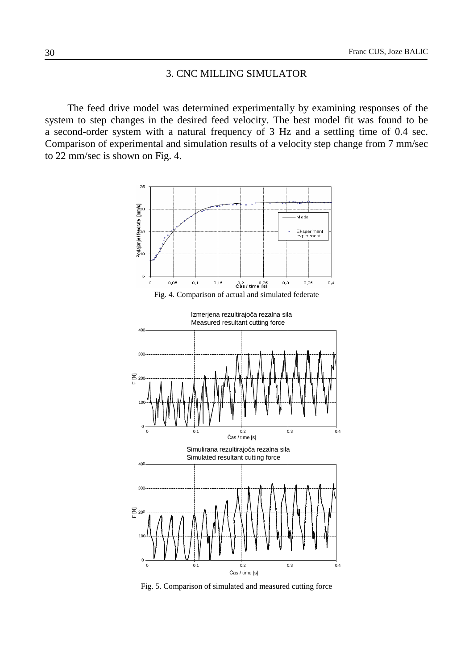## 3. CNC MILLING SIMULATOR

The feed drive model was determined experimentally by examining responses of the system to step changes in the desired feed velocity. The best model fit was found to be a second-order system with a natural frequency of 3 Hz and a settling time of 0.4 sec. Comparison of experimental and simulation results of a velocity step change from 7 mm/sec to 22 mm/sec is shown on Fig. 4.



Fig. 5. Comparison of simulated and measured cutting force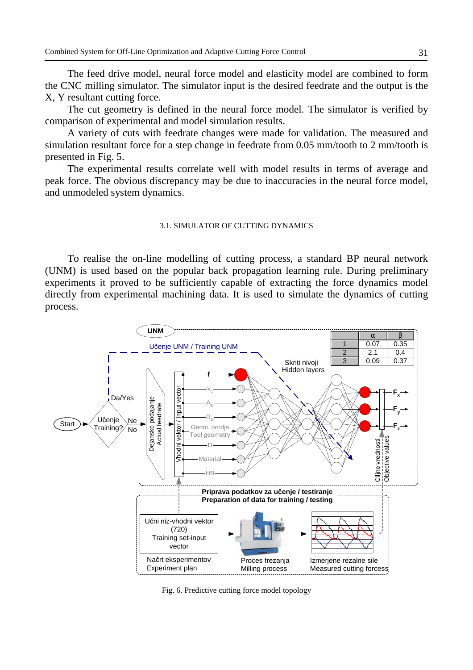The feed drive model, neural force model and elasticity model are combined to form the CNC milling simulator. The simulator input is the desired feedrate and the output is the X, Y resultant cutting force.

The cut geometry is defined in the neural force model. The simulator is verified by comparison of experimental and model simulation results.

A variety of cuts with feedrate changes were made for validation. The measured and simulation resultant force for a step change in feedrate from 0.05 mm/tooth to 2 mm/tooth is presented in Fig. 5.

The experimental results correlate well with model results in terms of average and peak force. The obvious discrepancy may be due to inaccuracies in the neural force model, and unmodeled system dynamics.

### 3.1. SIMULATOR OF CUTTING DYNAMICS

To realise the on-line modelling of cutting process, a standard BP neural network (UNM) is used based on the popular back propagation learning rule. During preliminary experiments it proved to be sufficiently capable of extracting the force dynamics model directly from experimental machining data. It is used to simulate the dynamics of cutting process.



Fig. 6. Predictive cutting force model topology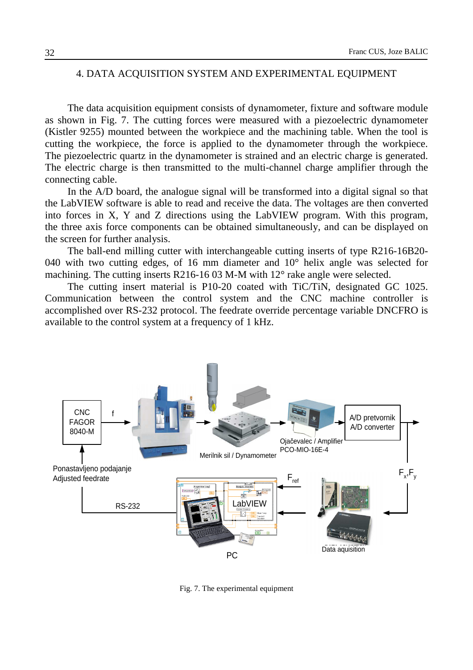# 4. DATA ACQUISITION SYSTEM AND EXPERIMENTAL EQUIPMENT

The data acquisition equipment consists of dynamometer, fixture and software module as shown in Fig. 7. The cutting forces were measured with a piezoelectric dynamometer (Kistler 9255) mounted between the workpiece and the machining table. When the tool is cutting the workpiece, the force is applied to the dynamometer through the workpiece. The piezoelectric quartz in the dynamometer is strained and an electric charge is generated. The electric charge is then transmitted to the multi-channel charge amplifier through the connecting cable.

In the A/D board, the analogue signal will be transformed into a digital signal so that the LabVIEW software is able to read and receive the data. The voltages are then converted into forces in X, Y and Z directions using the LabVIEW program. With this program, the three axis force components can be obtained simultaneously, and can be displayed on the screen for further analysis.

The ball-end milling cutter with interchangeable cutting inserts of type R216-16B20- 040 with two cutting edges, of 16 mm diameter and 10° helix angle was selected for machining. The cutting inserts R216-16 03 M-M with 12° rake angle were selected.

The cutting insert material is P10-20 coated with TiC/TiN, designated GC 1025. Communication between the control system and the CNC machine controller is accomplished over RS-232 protocol. The feedrate override percentage variable DNCFRO is available to the control system at a frequency of 1 kHz.



Fig. 7. The experimental equipment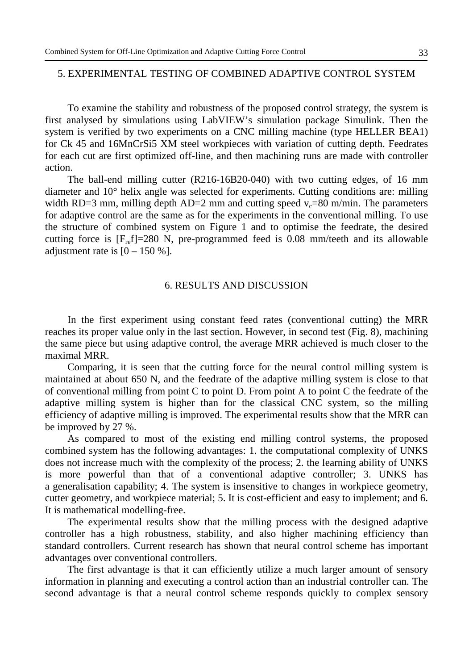# 5. EXPERIMENTAL TESTING OF COMBINED ADAPTIVE CONTROL SYSTEM

To examine the stability and robustness of the proposed control strategy, the system is first analysed by simulations using LabVIEW's simulation package Simulink. Then the system is verified by two experiments on a CNC milling machine (type HELLER BEA1) for Ck 45 and 16MnCrSi5 XM steel workpieces with variation of cutting depth. Feedrates for each cut are first optimized off-line, and then machining runs are made with controller action.

The ball-end milling cutter (R216-16B20-040) with two cutting edges, of 16 mm diameter and 10° helix angle was selected for experiments. Cutting conditions are: milling width RD=3 mm, milling depth AD=2 mm and cutting speed  $v_c$ =80 m/min. The parameters for adaptive control are the same as for the experiments in the conventional milling. To use the structure of combined system on Figure 1 and to optimise the feedrate, the desired cutting force is  $[F_{ref}]=280$  N, pre-programmed feed is 0.08 mm/teeth and its allowable adjustment rate is  $[0 - 150 \%]$ .

### 6. RESULTS AND DISCUSSION

In the first experiment using constant feed rates (conventional cutting) the MRR reaches its proper value only in the last section. However, in second test (Fig. 8), machining the same piece but using adaptive control, the average MRR achieved is much closer to the maximal MRR.

Comparing, it is seen that the cutting force for the neural control milling system is maintained at about 650 N, and the feedrate of the adaptive milling system is close to that of conventional milling from point C to point D. From point A to point C the feedrate of the adaptive milling system is higher than for the classical CNC system, so the milling efficiency of adaptive milling is improved. The experimental results show that the MRR can be improved by 27 %.

As compared to most of the existing end milling control systems, the proposed combined system has the following advantages: 1. the computational complexity of UNKS does not increase much with the complexity of the process; 2. the learning ability of UNKS is more powerful than that of a conventional adaptive controller; 3. UNKS has a generalisation capability; 4. The system is insensitive to changes in workpiece geometry, cutter geometry, and workpiece material; 5. It is cost-efficient and easy to implement; and 6. It is mathematical modelling-free.

The experimental results show that the milling process with the designed adaptive controller has a high robustness, stability, and also higher machining efficiency than standard controllers. Current research has shown that neural control scheme has important advantages over conventional controllers.

The first advantage is that it can efficiently utilize a much larger amount of sensory information in planning and executing a control action than an industrial controller can. The second advantage is that a neural control scheme responds quickly to complex sensory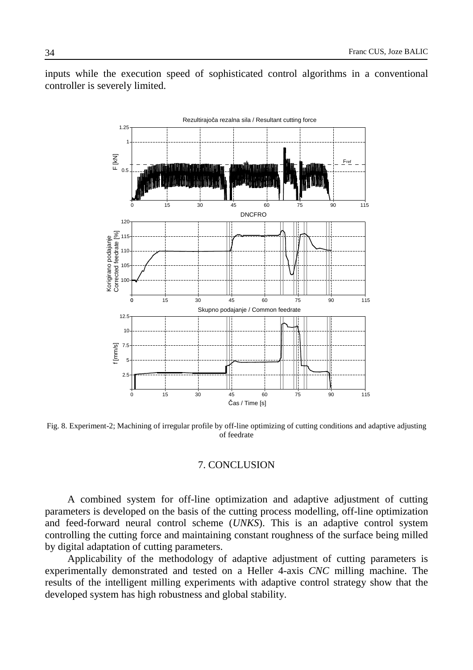

inputs while the execution speed of sophisticated control algorithms in a conventional controller is severely limited.

Fig. 8. Experiment-2; Machining of irregular profile by off-line optimizing of cutting conditions and adaptive adjusting of feedrate

### 7. CONCLUSION

A combined system for off-line optimization and adaptive adjustment of cutting parameters is developed on the basis of the cutting process modelling, off-line optimization and feed-forward neural control scheme (*UNKS*). This is an adaptive control system controlling the cutting force and maintaining constant roughness of the surface being milled by digital adaptation of cutting parameters.

Applicability of the methodology of adaptive adjustment of cutting parameters is experimentally demonstrated and tested on a Heller 4-axis *CNC* milling machine. The results of the intelligent milling experiments with adaptive control strategy show that the developed system has high robustness and global stability.